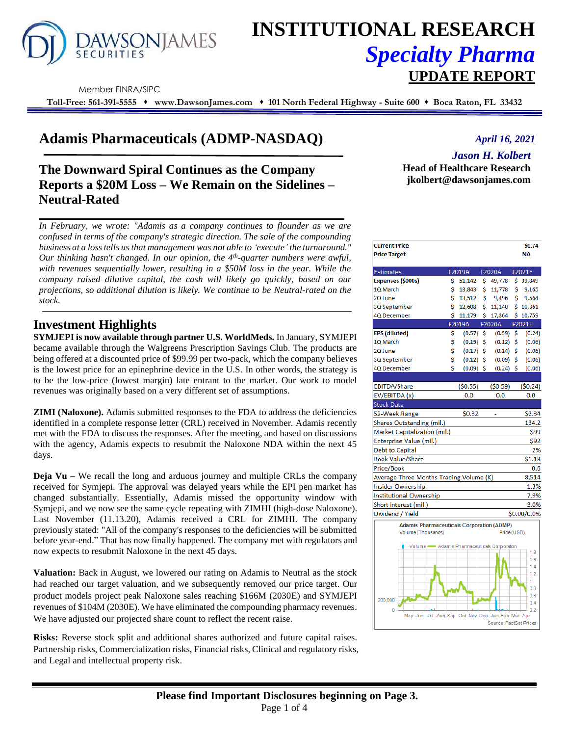

# **INSTITUTIONAL RESEARCH** *Specialty Pharma*  **UPDATE REPORT**

Member FINRA/SIPC

**Toll-Free: 561-391-5555** ⬧ **www.DawsonJames.com** ⬧ **101 North Federal Highway - Suite 600** ⬧ **Boca Raton, FL 33432**

## **Adamis Pharmaceuticals (ADMP-NASDAQ)**

### **The Downward Spiral Continues as the Company Reports a \$20M Loss – We Remain on the Sidelines – Neutral-Rated**

*In February, we wrote: "Adamis as a company continues to flounder as we are confused in terms of the company's strategic direction. The sale of the compounding business at a loss tells us that management was not able to 'execute' the turnaround." Our thinking hasn't changed. In our opinion, the 4th -quarter numbers were awful, with revenues sequentially lower, resulting in a \$50M loss in the year. While the company raised dilutive capital, the cash will likely go quickly, based on our projections, so additional dilution is likely. We continue to be Neutral-rated on the stock.*

### **Investment Highlights**

**SYMJEPI is now available through partner U.S. WorldMeds.** In January, SYMJEPI became available through the Walgreens Prescription Savings Club. The products are being offered at a discounted price of \$99.99 per two-pack, which the company believes is the lowest price for an epinephrine device in the U.S. In other words, the strategy is to be the low-price (lowest margin) late entrant to the market. Our work to model revenues was originally based on a very different set of assumptions.

**ZIMI (Naloxone).** Adamis submitted responses to the FDA to address the deficiencies identified in a complete response letter (CRL) received in November. Adamis recently met with the FDA to discuss the responses. After the meeting, and based on discussions with the agency, Adamis expects to resubmit the Naloxone NDA within the next 45 days.

**Deja Vu** – We recall the long and arduous journey and multiple CRLs the company received for Symjepi. The approval was delayed years while the EPI pen market has changed substantially. Essentially, Adamis missed the opportunity window with Symjepi, and we now see the same cycle repeating with ZIMHI (high-dose Naloxone). Last November (11.13.20), Adamis received a CRL for ZIMHI. The company previously stated: "All of the company's responses to the deficiencies will be submitted before year-end." That has now finally happened. The company met with regulators and now expects to resubmit Naloxone in the next 45 days.

**Valuation:** Back in August, we lowered our rating on Adamis to Neutral as the stock had reached our target valuation, and we subsequently removed our price target. Our product models project peak Naloxone sales reaching \$166M (2030E) and SYMJEPI revenues of \$104M (2030E). We have eliminated the compounding pharmacy revenues. We have adjusted our projected share count to reflect the recent raise.

**Risks:** Reverse stock split and additional shares authorized and future capital raises. Partnership risks, Commercialization risks, Financial risks, Clinical and regulatory risks, and Legal and intellectual property risk.

#### *April 16, 2021*

*Jason H. Kolbert*

**Head of Healthcare Research jkolbert@dawsonjames.com**

| <b>Current Price</b><br><b>Price Target</b>                                                                                          |    |             |     |             |    | \$0.74<br>NΑ |  |  |  |
|--------------------------------------------------------------------------------------------------------------------------------------|----|-------------|-----|-------------|----|--------------|--|--|--|
| <b>Estimates</b>                                                                                                                     |    | F2019A      |     | F2020A      |    | F2021E       |  |  |  |
| Expenses (\$000s)                                                                                                                    | Ś. | 51,142      | \$. | 49,778      |    | \$39,849     |  |  |  |
| 1Q March                                                                                                                             | Ś  | 13,843      | \$  | 11,778      | \$ | 9,165        |  |  |  |
| 2Q June                                                                                                                              | \$ | 13,512      | \$  | 9,496       | \$ | 9,564        |  |  |  |
| 3Q September                                                                                                                         | \$ | 12,608      | \$  | 11,140      |    | \$10,361     |  |  |  |
| 4Q December                                                                                                                          | Ś  | 11,179      | \$  | 17,364      | \$ | 10,759       |  |  |  |
|                                                                                                                                      |    | F2019A      |     | F2020A      |    | F2021E       |  |  |  |
| EPS (diluted)                                                                                                                        | \$ | (0.57)      | \$  | (0.59)      | \$ | (0.24)       |  |  |  |
| 10 March                                                                                                                             | \$ | (0.19)      | \$  | (0.12)      | Ŝ. | (0.06)       |  |  |  |
| 2Q June                                                                                                                              | \$ | $(0.17)$ \$ |     | (0.14)      | \$ | (0.06)       |  |  |  |
| 3Q September                                                                                                                         | \$ | (0.12)      | \$  | $(0.09)$ \$ |    | (0.06)       |  |  |  |
| 4Q December                                                                                                                          | Ś  | $(0.09)$ \$ |     | $(0.24)$ \$ |    | (0.06)       |  |  |  |
|                                                                                                                                      |    |             |     |             |    |              |  |  |  |
| <b>EBITDA/Share</b>                                                                                                                  |    | (50.55)     |     | (50.59)     |    | (50.24)      |  |  |  |
| EV/EBITDA (x)                                                                                                                        |    | 0.0         |     | 0.0         |    | 0.0          |  |  |  |
| <b>Stock Data</b>                                                                                                                    |    |             |     |             |    |              |  |  |  |
| 52-Week Range                                                                                                                        |    | \$0.32      |     |             |    | \$2.34       |  |  |  |
| Shares Outstanding (mil.)                                                                                                            |    |             |     |             |    | 134.2        |  |  |  |
| Market Capitalization (mil.)                                                                                                         |    |             |     |             |    | \$99         |  |  |  |
| Enterprise Value (mil.)<br>\$92                                                                                                      |    |             |     |             |    |              |  |  |  |
| Debt to Capital                                                                                                                      |    |             |     |             |    | 2%           |  |  |  |
| <b>Book Value/Share</b>                                                                                                              |    |             |     |             |    | \$1.18       |  |  |  |
| Price/Book                                                                                                                           |    |             |     |             |    | 0.6          |  |  |  |
| Average Three Months Trading Volume (K)<br>8,514                                                                                     |    |             |     |             |    |              |  |  |  |
| Insider Ownership                                                                                                                    |    |             |     |             |    | 1.3%         |  |  |  |
| <b>Institutional Ownership</b>                                                                                                       |    |             |     |             |    | 7.9%         |  |  |  |
| Short interest (mil.)<br>3.0%                                                                                                        |    |             |     |             |    |              |  |  |  |
| Dividend / Yield<br>\$0.00/0.0%                                                                                                      |    |             |     |             |    |              |  |  |  |
| <b>Adamis Pharmaceuticals Corporation (ADMP)</b><br>Price (USD)<br>Volume (Thousands)<br>Volume - Adamis Pharmaceuticals Corporation |    |             |     |             |    |              |  |  |  |
|                                                                                                                                      |    |             |     |             |    | 1.8          |  |  |  |

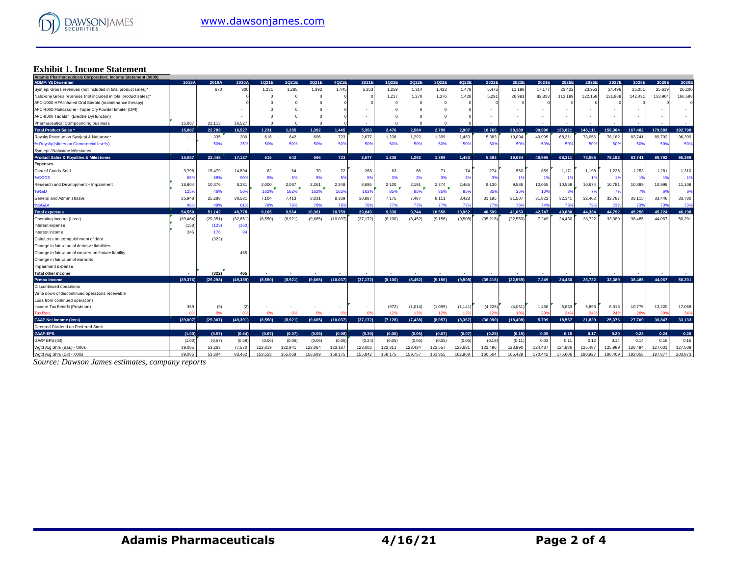

#### **Exhibit 1. Income Statement**

| Adamis Pharmaceuticals Corporation: Income Statement (\$000)   |           |           |           |           |            |          |           |           |          |          |            |          |           |           |         |         |         |         |         |                |         |
|----------------------------------------------------------------|-----------|-----------|-----------|-----------|------------|----------|-----------|-----------|----------|----------|------------|----------|-----------|-----------|---------|---------|---------|---------|---------|----------------|---------|
| <b>ADMP: YE December</b>                                       | 2018A     | 2019A     | 2020A     | 1Q21E     | 2Q21E      | 3Q21E    | 4Q21E     | 2021E     | 1Q22E    | 2Q22E    | 3Q22E      | 4Q22E    | 2022E     | 2023E     | 2024E   | 2025E   | 2026E   | 2027E   | 2028E   | 2029E          | 2030E   |
| Symjepi Gross revenues (not included in total product sales)*  |           | 670       | 800       | 1,231     | 1,285      | 1,392    | 1.445     | 5,353     | 1,259    | 1,314    | 1,423      | 1,478    | 5,475     | 11,198    | 17,177  | 23,422  | 23,953  | 24,496  | 25,05'  | 25,619         | 26,200  |
| Naloxone Gross revenues (not included in total product sales)* |           |           |           |           |            | $\Omega$ |           |           | 1,217    | 1,270    | 1,376      | 1,428    | 5,291     | 26,991    | 82,81   | 113,199 | 122,158 | 131,868 | 142,43' | 153,964        | 166,598 |
| APC-1000 HFA Inhaled Oral Steroid (maintenance therapy)        |           |           |           |           |            | $\Omega$ |           |           | O        | C        | $^{\circ}$ |          |           |           |         |         |         |         |         |                |         |
| APC-4000 Fluticasone - Taper Dry Powder Inhaler (DPI)          |           |           |           |           |            |          |           |           |          |          | $\Omega$   |          |           |           |         |         |         |         |         |                |         |
| APC-8000 Tadalafil (Erectile Dysfunction)                      |           |           |           |           |            |          |           |           |          |          | $\Omega$   |          |           |           |         |         |         |         |         |                |         |
| Pharmaceutical Compounding business                            | 15,087    | 22,113    | 16,527    | $\Omega$  | $\Omega$   | $\Omega$ |           |           | $\Omega$ | C        | $\Omega$   |          |           |           |         |         |         |         |         |                |         |
| <b>Total Product Sales*</b>                                    | 15.087    | 22,783    | 16,527    | 1,231     | 1.285      | 1.392    | 1,445     | 5.353     | 2,476    | 2.584    | 2.799      | 2,907    | 10,765    | 38,189    | 99.990  | 136.621 | 146,111 | 156.364 | 167.482 | 179.583        | 192.798 |
| Royalty Revenue on Symjepi & Naloxone*                         | ٠.        | 335       | 200       | 616       | 642        | 696      | 723       | 2.677     | 1,238    | 1,292    | 1,399      | 1,453    | 5,383     | 19,094    | 49.995  | 68.311  | 73,056  | 78,182  | 83.741  | 89.792         | 96,399  |
| % Royalty (slides on Commercial levels)                        |           | 509       | 25%       | 50%       | 50%        | 50%      | 50%       | 50%       | 50%      | 50%      | 50%        | 50%      | 50%       | 50%       | 50%     | 50%     | 50%     | 50%     | 50%     | 50%            | 50%     |
| Symjepi / Naloxone Milestones                                  |           |           |           |           |            |          |           |           |          |          |            |          |           |           |         |         |         |         |         |                |         |
| <b>Product Sales &amp; Royalties &amp; Milestones</b>          | 15.087    | 22,448    | 17,127    | 616       | 642        | 696      | 723       | 2,677     | 1.238    | 1.292    | 1.399      | 1.453    | 5.383     | 19.094    | 49.995  | 68.311  | 73.056  | 78,182  | 83.741  | 89,792         | 96,399  |
| <b>Expenses</b>                                                |           |           |           |           |            |          |           |           |          |          |            |          |           |           |         |         |         |         |         |                |         |
| Cost of Goods Sold                                             | 9,798     | 15,479    | 14,894    | 62        | 64         | 70       | 72        | 268       | 63       | 66       | 71         | 74       | 274       | 560       | 859     | 1,171   | 1,198   | 1,225   | 1,253   | 1,281          | 1,310   |
| %COGS                                                          | 65%       | 689       | 90%       | 5%        | 5%         | 5%       | 5%        | 5%        | 3%       | 3%       | 3%         | 3%       | 3%        | 1%        | 1%      | 1%      | -19     |         | 1%      | 1 <sup>5</sup> | 1%      |
| Research and Development + Impairment                          | 18,804    | 10,376    | 8,281     | 2,000     | 2,087      | 2,261    | 2,348     | 8,695     | 2,100    | 2,191    | 2,374      | 2,465    | 9,130     | 9,586     | 10,065  | 10,569  | 10,674  | 10,781  | 10,889  | 10,998         | 11,108  |
| %R&D                                                           | 125%      | 46%       | 50%       | Ð<br>162% | T.<br>162% | 162%     | 162%      | 162%      | 85%      | 85%      | 85%        | 85%      | 85%       | 25%       | 10%     | 8%      | 7%      | 7%      | 7%      | 69             | 6%      |
| General and Administrative                                     | 25,948    | 25,288    | 30,581    | 7,104     | 7,413      | 8,031    | 8,339     | 30,887    | 7,175    | 7.487    | 8,111      | 8,423    | 31,195    | 31,507    | 31,822  | 32,141  | 32,462  | 32,787  | 33,115  | 33.446         | 33,780  |
| %SG&A                                                          | 489       | 49        | 61'       | 78%       | 78%        | 78%      | 78%       | 78%       | 77%      | 77%      | 77%        | 77%      | 77%       | 76%       | 749     | 73%     | 73%     | 739     | 73%     | 73%            | 73%     |
| <b>Total expenses</b>                                          | 54,550    | 51,142    | 49,778    | 9.165     | 9.564      | 10.361   | 10,759    | 39,849    | 9.338    | 9.744    | 10.556     | 10.962   | 40.599    | 41.653    | 42.747  | 43.880  | 44.334  | 44.792  | 45.256  | 45.724         | 46,198  |
| Operating income (Loss)                                        | (39, 464) | (29, 351) | (32, 651) | (8,550)   | (8,921)    | (9,665)  | (10, 037) | (37, 172) | (8, 100) | (8, 452) | (9, 156)   | (9,508)  | (35, 216) | (22, 559) | 7.249   | 24.430  | 28,722  | 33,389  | 38,485  | 44.067         | 50,201  |
| Interest expense                                               | (158)     | (123)     | (160)     |           |            |          |           |           |          |          |            |          |           |           |         |         |         |         |         |                |         |
| Interest Income                                                | 245       | 176       | 84        |           |            |          |           |           |          |          |            |          |           |           |         |         |         |         |         |                |         |
| Gain/Loss on extinguishment of debt                            |           | (322)     |           |           |            |          |           |           |          |          |            |          |           |           |         |         |         |         |         |                |         |
| Change in fair value of derivitive liabilities                 |           |           |           |           |            |          |           |           |          |          |            |          |           |           |         |         |         |         |         |                |         |
| Change in fair value of conversion feature liability           |           |           | 465       |           |            |          |           |           |          |          |            |          |           |           |         |         |         |         |         |                |         |
| Change in fair value of warrants                               |           |           |           |           |            |          |           |           |          |          |            |          |           |           |         |         |         |         |         |                |         |
| Impairment Expense                                             |           |           |           |           |            |          |           |           |          |          |            |          |           |           |         |         |         |         |         |                |         |
| <b>Total other income</b>                                      |           | (322)     | 465       |           |            |          |           |           |          |          |            |          |           |           |         |         |         |         |         |                |         |
| <b>Pretax Income</b>                                           | (39.376)  | (29.298)  | (49.389)  | (8.550)   | (8.921)    | (9.665)  | (10, 037) | (37, 172) | (8, 100) | (8.452)  | (9.156)    | (9.508)  | (35, 216) | (22.559)  | 7,249   | 24,430  | 28.722  | 33,389  | 38,485  | 44.067         | 50.201  |
| Discontinued opeartions                                        |           |           |           |           |            |          |           |           |          |          |            |          |           |           |         |         |         |         |         |                |         |
| Write down of discontinued operations receivable               |           |           |           |           |            |          |           |           |          |          |            |          |           |           |         |         |         |         |         |                |         |
| Loss from continued operations                                 |           |           |           |           |            |          |           |           |          |          |            |          |           |           |         |         |         |         |         |                |         |
| Income Tax Benefit (Provision)                                 | 369       | 19        | (2)       |           |            |          |           |           | (972)    | (1,014)  | (1,099)    | (1, 141) | (4,226)   | (4,061)   | 1,450   | 5,863   | 6,893   | 8,013   | 10,776  | 13,220         | 17,068  |
| <b>Tax Rate</b>                                                | n         | ns        | nº        | 0%        | 0%         | 0%       |           |           | 12%      | 12%      | 12%        | 12%      | 12%       | 18%       | 20%     | 24%     | 249     | 24%     | 28%     | 309            | 34%     |
| <b>GAAP Net Income (loss)</b>                                  | (39.007)  | (29.307)  | (49.391)  | (8,550)   | (8.921)    | (9,665)  | (10, 037) | (37, 172) | (7, 128) | (7, 438) | (8,057)    | (8.367)  | (30,990)  | (18, 498) | 5.799   | 18.567  | 21.829  | 25,376  | 27,709  | 30.847         | 33,133  |
| Deemed Dividend on Preferred Stock                             |           |           |           |           |            |          |           |           |          |          |            |          |           |           |         |         |         |         |         |                |         |
| <b>GAAP-EPS</b>                                                | (1.00)    | (0.57)    | (0.64)    | (0.07)    | (0.07)     | (0.08)   | (0.08)    | (0.30)    | (0.06)   | (0.06)   | (0.07)     | (0.07)   | (0.25)    | (0.15)    | 0.05    | 0.15    | 0.17    | 0.20    | 0.22    | 0.24           | 0.26    |
| GAAP EPS (dil)                                                 | (1.00)    | (0.57)    | (0.59)    | (0.06)    | (0.06)     | (0.06)   | (0.06)    | (0.24)    | (0.05)   | (0.05)   | (0.05)     | (0.05)   | (0.19)    | (0.11)    | 0.03    | 0.11    | 0.12    | 0.14    | 0.14    | 0.16           | 0.16    |
| Wgtd Avg Shrs (Bas) - '000s                                    | 39.085    | 53,263    | 77,570    | 122,819   | 122.941    | 123,064  | 123,187   | 123,003   | 123.311  | 123.434  | 123,557    | 123,681  | 123,496   | 123.990   | 124.487 | 124.986 | 125,487 | 125.989 | 126.494 | 127,001        | 127,509 |
| Wgtd Avg Shrs (Dil) - '000s                                    | 39.085    | 53.304    | 83.462    | 153.523   | 155.059    | 156,609  | 158.175   | 155.842   | 158.175  | 159.757  | 161.355    | 162.968  | 160.564   | 165.429   | 170.442 | 175,606 | 180,927 | 186,409 | 192.058 | 197.877        | 203.873 |

*Source: Dawson James estimates, company reports*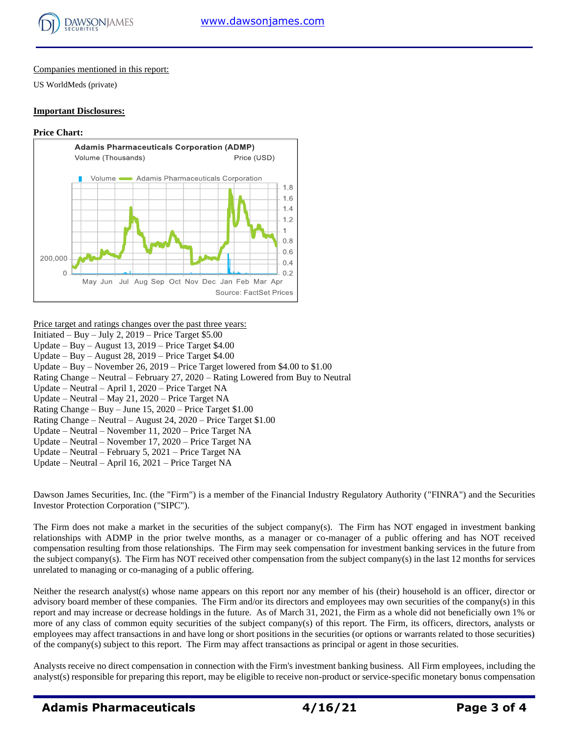

#### Companies mentioned in this report:

US WorldMeds (private)

#### **Important Disclosures:**

#### **Price Chart:**



#### Price target and ratings changes over the past three years:

- Initiated Buy July 2,  $2019$  Price Target \$5.00
- Update Buy August 13, 2019 Price Target \$4.00
- Update Buy August 28, 2019 Price Target \$4.00
- Update Buy November 26, 2019 Price Target lowered from \$4.00 to \$1.00
- Rating Change Neutral February 27, 2020 Rating Lowered from Buy to Neutral
- Update Neutral April 1, 2020 Price Target NA
- Update Neutral May 21, 2020 Price Target NA
- Rating Change Buy June 15, 2020 Price Target \$1.00
- Rating Change Neutral August 24, 2020 Price Target \$1.00
- Update Neutral November 11, 2020 Price Target NA
- Update Neutral November 17, 2020 Price Target NA
- Update Neutral February 5, 2021 Price Target NA
- Update Neutral April 16, 2021 Price Target NA

Dawson James Securities, Inc. (the "Firm") is a member of the Financial Industry Regulatory Authority ("FINRA") and the Securities Investor Protection Corporation ("SIPC").

The Firm does not make a market in the securities of the subject company(s). The Firm has NOT engaged in investment banking relationships with ADMP in the prior twelve months, as a manager or co-manager of a public offering and has NOT received compensation resulting from those relationships. The Firm may seek compensation for investment banking services in the future from the subject company(s). The Firm has NOT received other compensation from the subject company(s) in the last 12 months for services unrelated to managing or co-managing of a public offering.

Neither the research analyst(s) whose name appears on this report nor any member of his (their) household is an officer, director or advisory board member of these companies. The Firm and/or its directors and employees may own securities of the company(s) in this report and may increase or decrease holdings in the future. As of March 31, 2021, the Firm as a whole did not beneficially own 1% or more of any class of common equity securities of the subject company(s) of this report. The Firm, its officers, directors, analysts or employees may affect transactions in and have long or short positions in the securities (or options or warrants related to those securities) of the company(s) subject to this report. The Firm may affect transactions as principal or agent in those securities.

Analysts receive no direct compensation in connection with the Firm's investment banking business. All Firm employees, including the analyst(s) responsible for preparing this report, may be eligible to receive non-product or service-specific monetary bonus compensation